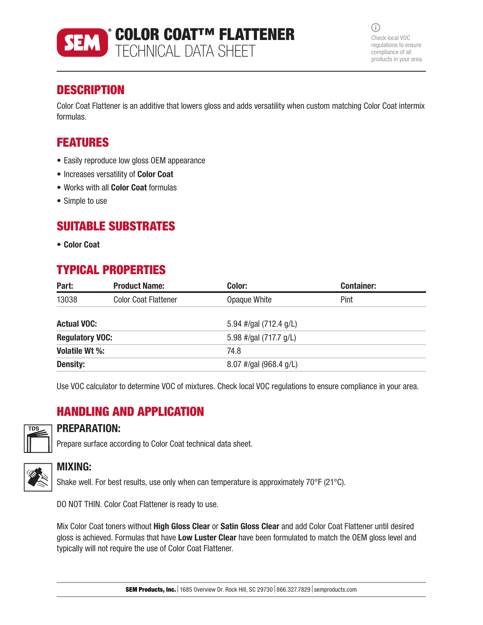

 $(i)$ Check local VOC regulations to ensure compliance of all products in your area.

# **DESCRIPTION**

Color Coat Flattener is an additive that lowers gloss and adds versatility when custom matching Color Coat intermix formulas.

## FEATURES

- Easily reproduce low gloss OEM appearance
- Increases versatility of Color Coat
- Works with all Color Coat formulas
- Simple to use

## SUITABLE SUBSTRATES

• Color Coat

# TYPICAL PROPERTIES

| Part:                  | <b>Product Name:</b>        | Color:                 | <b>Container:</b> |
|------------------------|-----------------------------|------------------------|-------------------|
| 13038                  | <b>Color Coat Flattener</b> | Opaque White           | Pint              |
| <b>Actual VOC:</b>     |                             | 5.94 #/gal (712.4 g/L) |                   |
| <b>Regulatory VOC:</b> |                             | 5.98 #/gal (717.7 g/L) |                   |
| Volatile Wt %:         |                             | 74.8                   |                   |
| <b>Density:</b>        |                             | 8.07 #/gal (968.4 g/L) |                   |

Use VOC calculator to determine VOC of mixtures. Check local VOC regulations to ensure compliance in your area.

## HANDLING AND APPLICATION



### PREPARATION:

Prepare surface according to Color Coat technical data sheet.



### MIXING:

Shake well. For best results, use only when can temperature is approximately 70°F (21°C).

DO NOT THIN. Color Coat Flattener is ready to use.

Mix Color Coat toners without **High Gloss Clear** or **Satin Gloss Clear** and add Color Coat Flattener until desired gloss is achieved. Formulas that have Low Luster Clear have been formulated to match the OEM gloss level and typically will not require the use of Color Coat Flattener.